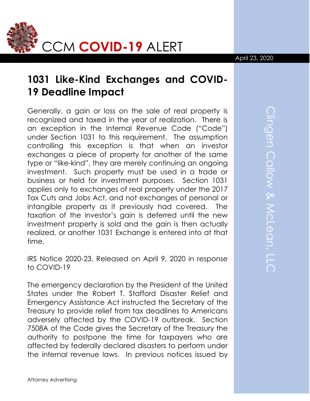

## April 23, 2020

## **1031 Like-Kind Exchanges and COVID-19 Deadline Impact**

Generally, a gain or loss on the sale of real property is recognized and taxed in the year of realization. There is an exception in the Internal Revenue Code ("Code") under Section 1031 to this requirement. The assumption controlling this exception is that when an investor exchanges a piece of property for another of the same type or "like-kind", they are merely continuing an ongoing investment. Such property must be used in a trade or business or held for investment purposes. Section 1031 applies only to exchanges of real property under the 2017 Tax Cuts and Jobs Act, and not exchanges of personal or intangible property as it previously had covered. The taxation of the investor's gain is deferred until the new investment property is sold and the gain is then actually realized, or another 1031 Exchange is entered into at that time.

IRS Notice 2020-23, Released on April 9, 2020 in response to COVID-19

The emergency declaration by the President of the United States under the Robert T. Stafford Disaster Relief and Emergency Assistance Act instructed the Secretary of the Treasury to provide relief from tax deadlines to Americans adversely affected by the COVID-19 outbreak. Section 7508A of the Code gives the Secretary of the Treasury the authority to postpone the time for taxpayers who are affected by federally declared disasters to perform under the internal revenue laws. In previous notices issued by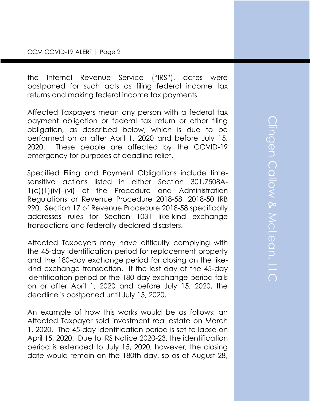the Internal Revenue Service ("IRS"), dates were postponed for such acts as filing federal income tax returns and making federal income tax payments.

Affected Taxpayers mean any person with a federal tax payment obligation or federal tax return or other filing obligation, as described below, which is due to be performed on or after April 1, 2020 and before July 15, 2020. These people are affected by the COVID-19 emergency for purposes of deadline relief.

Specified Filing and Payment Obligations include timesensitive actions listed in either Section 301.7508A-1(c)(1)(iv)–(vi) of the Procedure and Administration Regulations or Revenue Procedure 2018-58, 2018-50 IRB 990. Section 17 of Revenue Procedure 2018-58 specifically addresses rules for Section 1031 like-kind exchange transactions and federally declared disasters.

Affected Taxpayers may have difficulty complying with the 45-day identification period for replacement property and the 180-day exchange period for closing on the likekind exchange transaction. If the last day of the 45-day identification period or the 180-day exchange period falls on or after April 1, 2020 and before July 15, 2020, the deadline is postponed until July 15, 2020.

An example of how this works would be as follows: an Affected Taxpayer sold investment real estate on March 1, 2020. The 45-day identification period is set to lapse on April 15, 2020. Due to IRS Notice 2020-23, the identification period is extended to July 15, 2020; however, the closing date would remain on the 180th day, so as of August 28,